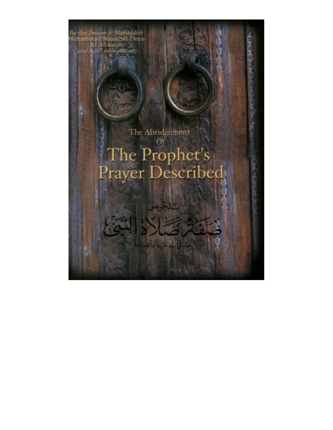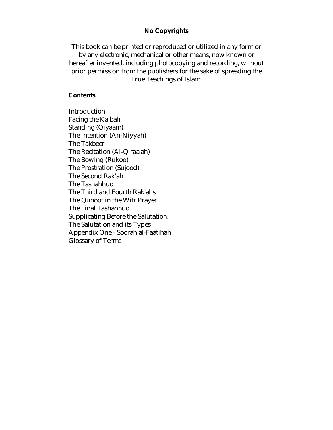#### **No Copyrights**

This book can be printed or reproduced or utilized in any form or by any electronic, mechanical or other means, now known or

hereafter invented, including photocopying and recording, without prior permission from the publishers for the sake of spreading the True Teachings of Islam.

#### **Contents**

Introduction Facing the Ka bah Standing (Qiyaam) The Intention (An-Niyyah) The Takbeer The Recitation (Al-Qiraa'ah) The Bowing (Rukoo) The Prostration (Sujood) The Second Rak'ah The Tashahhud The Third and Fourth Rak'ahs The Qunoot in the Witr Prayer The Final Tashahhud Supplicating Before the Salutation. The Salutation and its Types Appendix One - Soorah al-Faatihah Glossary of Terms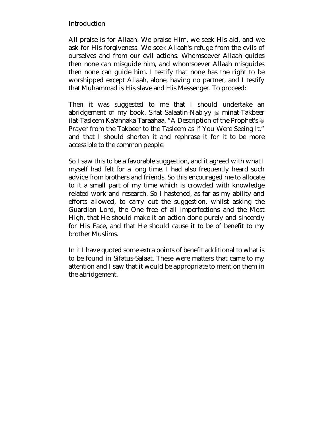# Introduction

All praise is for Allaah. We praise Him, we seek His aid, and we ask for His forgiveness. We seek Allaah's refuge from the evils of ourselves and from our evil actions. Whomsoever Allaah guides then none can misguide him, and whomsoever Allaah misguides then none can guide him. I testify that none has the right to be worshipped except Allaah, alone, having no partner, and I testify that Muhammad is His slave and His Messenger. To proceed:

Then it was suggested to me that I should undertake an abridgement of my book, Sifat Salaatin-Nabiyy  $\frac{1}{20}$  minat-Takbeer ilat-Tasleem Ka'annaka Taraahaa, "A Description of the Prophet's  $\frac{16}{26}$ Prayer from the Takbeer to the Tasleem as if You Were Seeing It," and that I should shorten it and rephrase it for it to be more accessible to the common people.

So I saw this to be a favorable suggestion, and it agreed with what I myself had felt for a long time. I had also frequently heard such advice from brothers and friends. So this encouraged me to allocate to it a small part of my time which is crowded with knowledge related work and research. So I hastened, as far as my ability and efforts allowed, to carry out the suggestion, whilst asking the Guardian Lord, the One free of all imperfections and the Most High, that He should make it an action done purely and sincerely for His Face, and that He should cause it to be of benefit to my brother Muslims.

In it I have quoted some extra points of benefit additional to what is to be found in Sifatus-Salaat. These were matters that came to my attention and I saw that it would be appropriate to mention them in the abridgement.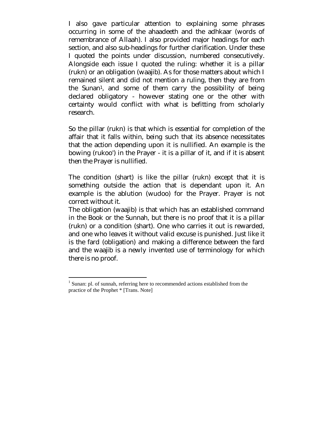I also gave particular attention to explaining some phrases occurring in some of the ahaadeeth and the adhkaar (words of remembrance of Allaah). I also provided major headings for each section, and also sub-headings for further clarification. Under these I quoted the points under discussion, numbered consecutively. Alongside each issue I quoted the ruling: whether it is a pillar (rukn) or an obligation (waajib). As for those matters about which I remained silent and did not mention a ruling, then they are from the Sunan1, and some of them carry the possibility of being declared obligatory - however stating one or the other with certainty would conflict with what is befitting from scholarly research.

So the pillar (rukn) is that which is essential for completion of the affair that it falls within, being such that its absence necessitates that the action depending upon it is nullified. An example is the bowing (rukoo') in the Prayer - it is a pillar of it, and if it is absent then the Prayer is nullified.

The condition (shart) is like the pillar (rukn) except that it is something outside the action that is dependant upon it. An example is the ablution (wudoo) for the Prayer. Prayer is not correct without it.

The obligation (waajib) is that which has an established command in the Book or the Sunnah, but there is no proof that it is a pillar (rukn) or a condition (shart). One who carries it out is rewarded, and one who leaves it without valid excuse is punished. Just like it is the fard (obligation) and making a difference between the fard and the waajib is a newly invented use of terminology for which there is no proof.

<sup>&</sup>lt;sup>1</sup> Sunan: pl. of sunnah, referring here to recommended actions established from the practice of the Prophet \* [Trans. Note]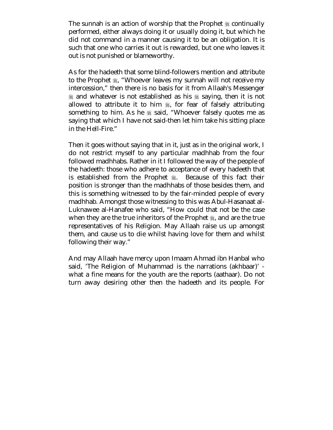The sunnah is an action of worship that the Prophet  $\frac{1}{26}$  continually performed, either always doing it or usually doing it, but which he did not command in a manner causing it to be an obligation. It is such that one who carries it out is rewarded, but one who leaves it out is not punished or blameworthy.

As for the hadeeth that some blind-followers mention and attribute to the Prophet  $\frac{1}{2}$ , "Whoever leaves my sunnah will not receive my intercession," then there is no basis for it from Allaah's Messenger  $\&$  and whatever is not established as his  $\&$  saying, then it is not allowed to attribute it to him  $\frac{1}{20}$ , for fear of falsely attributing something to him. As he  $\&$  said, "Whoever falsely quotes me as saying that which I have not said-then let him take his sitting place in the Hell-Fire."

Then it goes without saying that in it, just as in the original work, I do not restrict myself to any particular madhhab from the four followed madhhabs. Rather in it I followed the way of the people of the hadeeth: those who adhere to acceptance of every hadeeth that is established from the Prophet . Because of this fact their position is stronger than the madhhabs of those besides them, and this is something witnessed to by the fair-minded people of every madhhab. Amongst those witnessing to this was Abul-Hasanaat al-Luknawee al-Hanafee who said, "How could that not be the case when they are the true inheritors of the Prophet  $\frac{1}{26}$ , and are the true representatives of his Religion. May Allaah raise us up amongst them, and cause us to die whilst having love for them and whilst following their way."

And may Allaah have mercy upon Imaam Ahmad ibn Hanbal who said, 'The Religion of Muhammad is the narrations (akhbaar)' what a fine means for the youth are the reports (aathaar). Do not turn away desiring other then the hadeeth and its people. For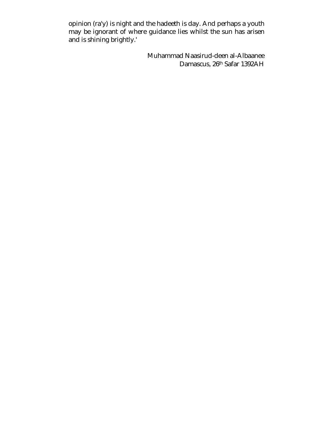opinion (ra'y) is night and the hadeeth is day. And perhaps a youth may be ignorant of where guidance lies whilst the sun has arisen and is shining brightly.'

> Muhammad Naasirud-deen al-Albaanee Damascus, 26th Safar 1392AH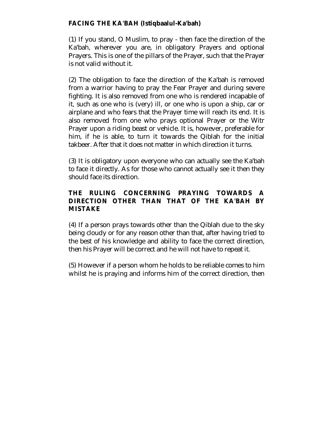# **FACING THE KA'BAH (Istiqbaalul-Ka'bah)**

(1) If you stand, O Muslim, to pray - then face the direction of the Ka'bah, wherever you are, in obligatory Prayers and optional Prayers. This is one of the pillars of the Prayer, such that the Prayer is not valid without it.

(2) The obligation to face the direction of the Ka'bah is removed from a warrior having to pray the Fear Prayer and during severe fighting. It is also removed from one who is rendered incapable of it, such as one who is (very) ill, or one who is upon a ship, car or airplane and who fears that the Prayer time will reach its end. It is also removed from one who prays optional Prayer or the Witr Prayer upon a riding beast or vehicle. It is, however, preferable for him, if he is able, to turn it towards the Qiblah for the initial takbeer. After that it does not matter in which direction it turns.

(3) It is obligatory upon everyone who can actually see the Ka'bah to face it directly. As for those who cannot actually see it then they should face its direction.

# **THE RULING CONCERNING PRAYING TOWARDS A DIRECTION OTHER THAN THAT OF THE KA'BAH BY MISTAKE**

(4) If a person prays towards other than the Qiblah due to the sky being cloudy or for any reason other than that, after having tried to the best of his knowledge and ability to face the correct direction, then his Prayer will be correct and he will not have to repeat it.

(5) However if a person whom he holds to be reliable comes to him whilst he is praying and informs him of the correct direction, then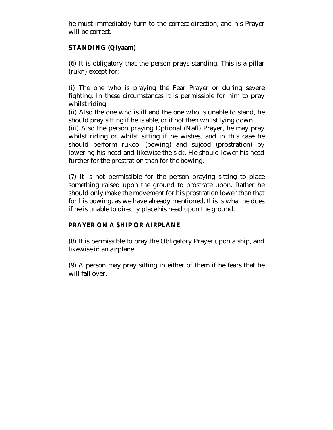he must immediately turn to the correct direction, and his Prayer will be correct.

# **STANDING (Qiyaam)**

(6) It is obligatory that the person prays standing. This is a pillar (rukn) except for:

(i) The one who is praying the Fear Prayer or during severe fighting. In these circumstances it is permissible for him to pray whilst riding.

(ii) Also the one who is ill and the one who is unable to stand, he should pray sitting if he is able, or if not then whilst lying down.

(iii) Also the person praying Optional (Nafl) Prayer, he may pray whilst riding or whilst sitting if he wishes, and in this case he should perform rukoo' (bowing) and sujood (prostration) by lowering his head and likewise the sick. He should lower his head further for the prostration than for the bowing.

(7) It is not permissible for the person praying sitting to place something raised upon the ground to prostrate upon. Rather he should only make the movement for his prostration lower than that for his bowing, as we have already mentioned, this is what he does if he is unable to directly place his head upon the ground.

# **PRAYER ON A SHIP OR AIRPLANE**

(8) It is permissible to pray the Obligatory Prayer upon a ship, and likewise in an airplane.

(9) A person may pray sitting in either of them if he fears that he will fall over.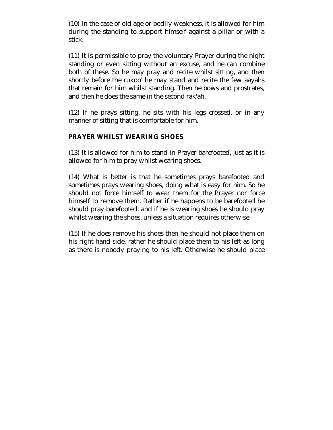(10) In the case of old age or bodily weakness, it is allowed for him during the standing to support himself against a pillar or with a stick.

(11) It is permissible to pray the voluntary Prayer during the night standing or even sitting without an excuse, and he can combine both of these. So he may pray and recite whilst sitting, and then shortly before the rukoo' he may stand and recite the few aayahs that remain for him whilst standing. Then he bows and prostrates, and then he does the same in the second rak'ah.

(12) If he prays sitting, he sits with his legs crossed, or in any manner of sitting that is comfortable for him.

#### **PRAYER WHILST WEARING SHOES**

(13) It is allowed for him to stand in Prayer barefooted, just as it is allowed for him to pray whilst wearing shoes.

(14) What is better is that he sometimes prays barefooted and sometimes prays wearing shoes, doing what is easy for him. So he should not force himself to wear them for the Prayer nor force himself to remove them. Rather if he happens to be barefooted he should pray barefooted, and if he is wearing shoes he should pray whilst wearing the shoes, unless a situation requires otherwise.

(15) If he does remove his shoes then he should not place them on his right-hand side, rather he should place them to his left as long as there is nobody praying to his left. Otherwise he should place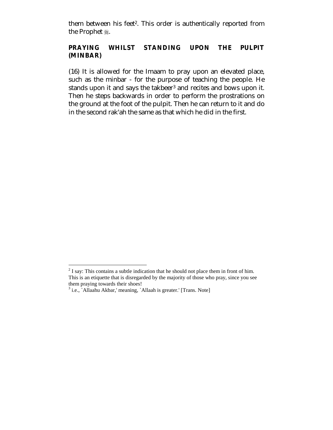them between his feet<sup>2</sup>. This order is authentically reported from the Prophet ...

## **PRAYING WHILST STANDING UPON THE PULPIT (MINBAR)**

(16) It is allowed for the Imaam to pray upon an elevated place, such as the minbar - for the purpose of teaching the people. He stands upon it and says the takbeer<sup>3</sup> and recites and bows upon it. Then he steps backwards in order to perform the prostrations on the ground at the foot of the pulpit. Then he can return to it and do in the second rak'ah the same as that which he did in the first.

 $2<sup>2</sup>$  I say: This contains a subtle indication that he should not place them in front of him. This is an etiquette that is disregarded by the majority of those who pray, since you see them praying towards their shoes!

<sup>&</sup>lt;sup>3</sup> i.e., `Allaahu Akbar,' meaning, `Allaah is greater.' [Trans. Note]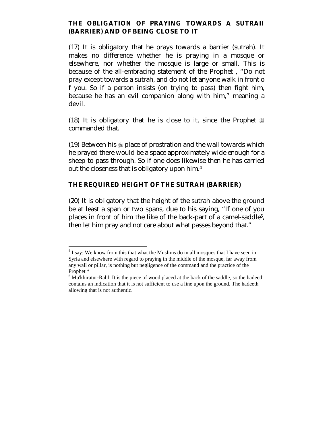#### **THE OBLIGATION OF PRAYING TOWARDS A SUTRAII (BARRIER) AND OF BEING CLOSE TO IT**

(17) It is obligatory that he prays towards a barrier (sutrah). It makes no difference whether he is praying in a mosque or elsewhere, nor whether the mosque is large or small. This is because of the all-embracing statement of the Prophet , "Do not pray except towards a sutrah, and do not let anyone walk in front o f you. So if a person insists (on trying to pass) then fight him, because he has an evil companion along with him," meaning a devil.

(18) It is obligatory that he is close to it, since the Prophet  $\frac{1}{26}$ commanded that.

(19) Between his  $\frac{1}{2}$  place of prostration and the wall towards which he prayed there would be a space approximately wide enough for a sheep to pass through. So if one does likewise then he has carried out the closeness that is obligatory upon him.4

# **THE REQUIRED HEIGHT OF THE SUTRAH (BARRIER)**

(20) It is obligatory that the height of the sutrah above the ground be at least a span or two spans, due to his saying, "If one of you places in front of him the like of the back-part of a camel-saddle5, then let him pray and not care about what passes beyond that."

 $4$  I say: We know from this that what the Muslims do in all mosques that I have seen in Syria and elsewhere with regard to praying in the middle of the mosque, far away from any wall or pillar, is nothing but negligence of the command and the practice of the Prophet \*

 $<sup>5</sup>$  Mu'khiratur-Rahl: It is the piece of wood placed at the back of the saddle, so the hadeeth</sup> contains an indication that it is not sufficient to use a line upon the ground. The hadeeth allowing that is not authentic.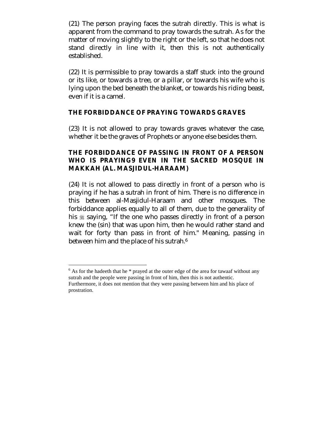(21) The person praying faces the sutrah directly. This is what is apparent from the command to pray towards the sutrah. As for the matter of moving slightly to the right or the left, so that he does not stand directly in line with it, then this is not authentically established.

(22) It is permissible to pray towards a staff stuck into the ground or its like, or towards a tree, or a pillar, or towards his wife who is lying upon the bed beneath the blanket, or towards his riding beast, even if it is a camel.

#### **THE FORBIDDANCE OF PRAYING TOWARDS GRAVES**

(23) It is not allowed to pray towards graves whatever the case, whether it be the graves of Prophets or anyone else besides them.

## **THE FORBIDDANCE OF PASSING IN FRONT OF A PERSON WHO IS PRAYING9 EVEN IN THE SACRED MOSQUE IN MAKKAH (AL. MASJIDUL-HARAAM)**

(24) It is not allowed to pass directly in front of a person who is praying if he has a sutrah in front of him. There is no difference in this between al-Masjidul-Haraam and other mosques. The forbiddance applies equally to all of them, due to the generality of his  $\frac{1}{20}$  saying, "If the one who passes directly in front of a person knew the (sin) that was upon him, then he would rather stand and wait for forty than pass in front of him." Meaning, passing in between him and the place of his sutrah.<sup>6</sup>

 $<sup>6</sup>$  As for the hadeeth that he  $*$  prayed at the outer edge of the area for tawaaf without any</sup> sutrah and the people were passing in front of him, then this is not authentic. Furthermore, it does not mention that they were passing between him and his place of prostration.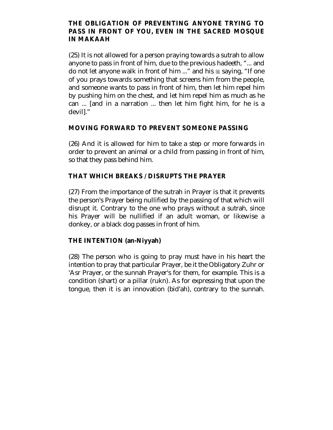#### **THE OBLIGATION OF PREVENTING ANYONE TRYING TO PASS IN FRONT OF YOU, EVEN IN THE SACRED MOSQUE IN MAKAAH**

(25) It is not allowed for a person praying towards a sutrah to allow anyone to pass in front of him, due to the previous hadeeth, "... and do not let anyone walk in front of him ..." and his  $*$  saying, "If one of you prays towards something that screens him from the people, and someone wants to pass in front of him, then let him repel him by pushing him on the chest, and let him repel him as much as he can ... [and in a narration ... then let him fight him, for he is a devil]."

#### **MOVING FORWARD TO PREVENT SOMEONE PASSING**

(26) And it is allowed for him to take a step or more forwards in order to prevent an animal or a child from passing in front of him, so that they pass behind him.

# **THAT WHICH BREAKS / DISRUPTS THE PRAYER**

(27) From the importance of the sutrah in Prayer is that it prevents the person's Prayer being nullified by the passing of that which will disrupt it. Contrary to the one who prays without a sutrah, since his Prayer will be nullified if an adult woman, or likewise a donkey, or a black dog passes in front of him.

# **THE INTENTION (an-Niyyah)**

(28) The person who is going to pray must have in his heart the intention to pray that particular Prayer, be it the Obligatory Zuhr or 'Asr Prayer, or the sunnah Prayer's for them, for example. This is a condition (shart) or a pillar (rukn). As for expressing that upon the tongue, then it is an innovation (bid'ah), contrary to the sunnah.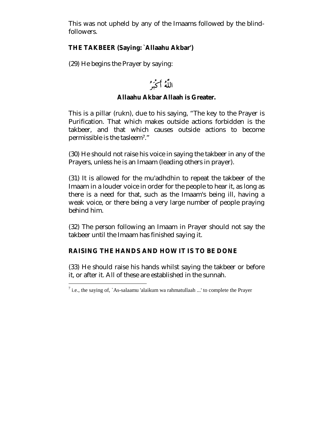This was not upheld by any of the Imaams followed by the blindfollowers.

# **THE TAKBEER (Saying: `Allaahu Akbar')**

(29) He begins the Prayer by saying:

# اللَّهُ أَكْبَرُ

# **Allaahu Akbar Allaah is Greater.**

This is a pillar (rukn), due to his saying, "The key to the Prayer is Purification. That which makes outside actions forbidden is the takbeer, and that which causes outside actions to become permissible is the tasleem7."

(30) He should not raise his voice in saying the takbeer in any of the Prayers, unless he is an Imaam (leading others in prayer).

(31) It is allowed for the mu'adhdhin to repeat the takbeer of the Imaam in a louder voice in order for the people to hear it, as long as there is a need for that, such as the Imaam's being ill, having a weak voice, or there being a very large number of people praying behind him.

(32) The person following an Imaam in Prayer should not say the takbeer until the Imaam has finished saying it.

# **RAISING THE HANDS AND HOW IT IS TO BE DONE**

(33) He should raise his hands whilst saying the takbeer or before it, or after it. All of these are established in the sunnah.

<sup>&</sup>lt;sup>7</sup> i.e., the saying of, `As-salaamu 'alaikum wa rahmatullaah ...' to complete the Prayer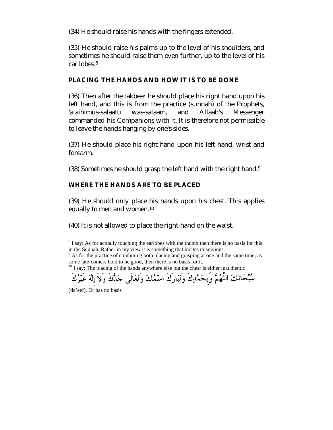(34) He should raise his hands with the fingers extended.

(35) He should raise his palms up to the level of his shoulders, and sometimes he should raise them even further, up to the level of his car lobes.8

## **PLACING THE HANDS AND HOW IT IS TO BE DONE**

(36) Then after the takbeer he should place his right hand upon his left hand, and this is from the practice (sunnah) of the Prophets, 'alaihimus-salaatu was-salaam, and Allaah's Messenger commanded his Companions with it. It is therefore not permissible to leave the hands hanging by one's sides.

(37) He should place his right hand upon his left hand, wrist and forearm.

(38) Sometimes he should grasp the left hand with the right hand.9

# **WHERE THE HANDS ARE TO BE PLACED**

(39) He should only place his hands upon his chest. This applies equally to men and women.10

(40) It is not allowed to place the right-hand on the waist.



<sup>(</sup>da'eef). Or has no basis

 $8$  I say: As for actually touching the earlobes with the thumb then there is no basis for this

in the Sunnah. Rather in my view it is something that incites misgivings. 9 As for the practice of combining both placing and grasping at one and the same time, as some late-comers hold to he good, then there is no basis for it.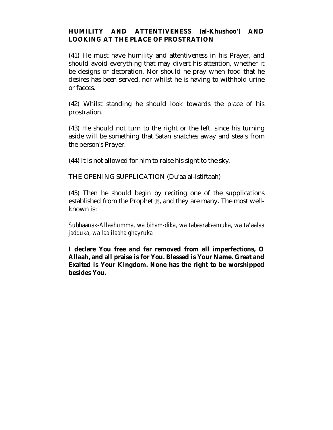#### **HUMILITY AND ATTENTIVENESS (al-Khushoo') AND LOOKING AT THE PLACE OF PROSTRATION**

(41) He must have humility and attentiveness in his Prayer, and should avoid everything that may divert his attention, whether it be designs or decoration. Nor should he pray when food that he desires has been served, nor whilst he is having to withhold urine or faeces.

(42) Whilst standing he should look towards the place of his prostration.

(43) He should not turn to the right or the left, since his turning aside will be something that Satan snatches away and steals from the person's Prayer.

(44) It is not allowed for him to raise his sight to the sky.

THE OPENING SUPPLICATION (Du'aa al-Istiftaah)

(45) Then he should begin by reciting one of the supplications established from the Prophet  $\frac{4}{36}$ , and they are many. The most wellknown is:

*Subhaanak-Allaahumma, wa biham-dika, wa tabaarakasmuka, wa ta'aalaa jadduka, wa laa ilaaha ghayruka* 

**I declare You free and far removed from all imperfections, O Allaah, and all praise is for You. Blessed is Your Name. Great and Exalted is Your Kingdom. None has the right to be worshipped besides You.**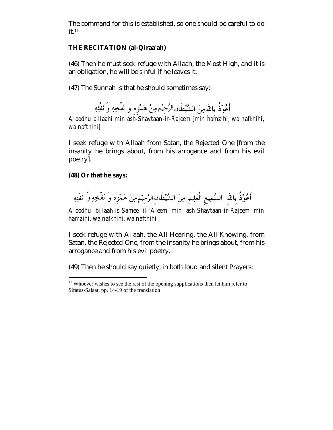The command for this is established, so one should be careful to do it.11

#### **THE RECITATION (al-Qiraa'ah)**

(46) Then he must seek refuge with Allaah, the Most High, and it is an obligation, he will be sinful if he leaves it.

(47) The Sunnah is that he should sometimes say:

أَعُوْذُ بالله مِنَ الشَّيْطَانِ الرَّحِيْمِ مِنْ هَمْزِه وَ نَفْخِهِ وَ نَفْثِهِ

*A'oodhu billaahi min ash-Shaytaan-ir-Rajeem [min hamzihi, wa nafkhihi, wa nafthihi]* 

I seek refuge with Allaah from Satan, the Rejected One [from the insanity he brings about, from his arrogance and from his evil poetry].

#### **(48) Or that he says:**

 $\overline{a}$ 

أَعُوْذُ بِاللهِ ۚ السَّمِيعِ الْعَلِيمِ مِنَ الشَّيْطَانِ الرَّحِيْم مِنْ هَمْزِهِ وَ نَفْخِهِ وَ نَفْثِهِ

*A'oodhu billaah-is-Samee'-il-'Aleem min ash-Shaytaan-ir-Rajeem min hamzihi, wa nafkhihi, wa nafthihi* 

I seek refuge with Allaah, the All-Hearing, the All-Knowing, from Satan, the Rejected One, from the insanity he brings about, from his arrogance and from his evil poetry.

(49) Then he should say quietly, in both loud and silent Prayers:

 $11$  Whoever wishes to see the rest of the opening supplications then let him refer to Sifatus-Salaat, pp. 14-19 of the translation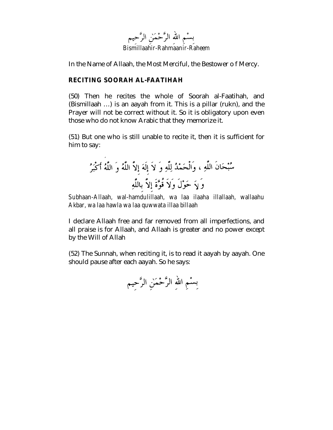

In the Name of Allaah, the Most Merciful, the Bestower o f Mercy.

## **RECITING SOORAH AL-FAATIHAH**

(50) Then he recites the whole of Soorah al-Faatihah, and (Bismillaah …) is an aayah from it. This is a pillar (rukn), and the Prayer will not be correct without it. So it is obligatory upon even those who do not know Arabic that they memorize it.

(51) But one who is still unable to recite it, then it is sufficient for him to say:

*Subhaan-Allaah, wal-hamdulillaah, wa laa ilaaha illallaah, wallaahu Akbar, wa laa hawla wa laa quwwata illaa billaah* 

I declare Allaah free and far removed from all imperfections, and all praise is for Allaah, and Allaah is greater and no power except by the Will of Allah

(52) The Sunnah, when reciting it, is to read it aayah by aayah. One should pause after each aayah. So he says:

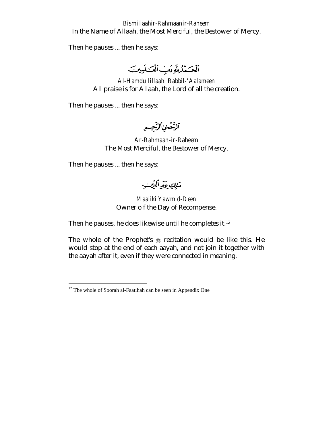#### *Bismillaahir-Rahmaanir-Raheem*  In the Name of Allaah, the Most Merciful, the Bestower of Mercy.

Then he pauses ... then he says:

ألْكَمْذُلِّةَ مَتِ أَلْمَـٰلَمِينَ

*Al-Hamdu lillaahi Rabbil-'Aalameen*  All praise is for Allaah, the Lord of all the creation.

Then he pauses ... then he says:

ٱلزَّحْمٰنِٱلزَّحِيهِ

*Ar-Rahmaan-ir-Raheem*  The Most Merciful, the Bestower of Mercy.

Then he pauses ... then he says:

 $\overline{a}$ 

مَئِلِكِ بَيْمِيلِلْيِسِيِبِ

*Maaliki Yawmid-Deen*  Owner o f the Day of Recompense.

Then he pauses, he does likewise until he completes it.12

The whole of the Prophet's  $*$  recitation would be like this. He would stop at the end of each aayah, and not join it together with the aayah after it, even if they were connected in meaning.

 $12$  The whole of Soorah al-Faatihah can be seen in Appendix One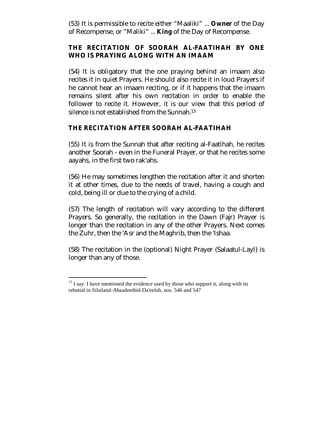(53) It is permissible to recite either "Maaliki" ... **Owner** of the Day of Recompense, or "Maliki" ... **King** of the Day of Recompense.

#### **THE RECITATION OF SOORAH AL-FAATIHAH BY ONE WHO IS PRAYING ALONG WITH AN IMAAM**

(54) It is obligatory that the one praying behind an imaam also recites it in quiet Prayers. He should also recite it in loud Prayers if he cannot hear an imaam reciting, or if it happens that the imaam remains silent after his own recitation in order to enable the follower to recite it. However, it is our view that this period of silence is not established from the Sunnah.13

#### **THE RECITATION AFTER SOORAH AL-FAATIHAH**

(55) It is from the Sunnah that after reciting al-Faatihah, he recites another Soorah - even in the Funeral Prayer, or that he recites some aayahs, in the first two rak'ahs.

(56) He may sometimes lengthen the recitation after it and shorten it at other times, due to the needs of travel, having a cough and cold, being ill or due to the crying of a child.

(57) The length of recitation will vary according to the different Prayers. So generally, the recitation in the Dawn (Fajr) Prayer is longer than the recitation in any of the other Prayers. Next comes the Zuhr, then the 'Asr and the Maghrib, then the 'Ishaa.

(58) The recitation in the (optional) Night Prayer (Salaatul-Layl) is longer than any of those.

 $\overline{a}$  $^{13}$  I say: I have mentioned the evidence used by those who support it, along with its rebuttal in Silsilatul-Ahaadeethid-Da'eefah, nos. 546 and 547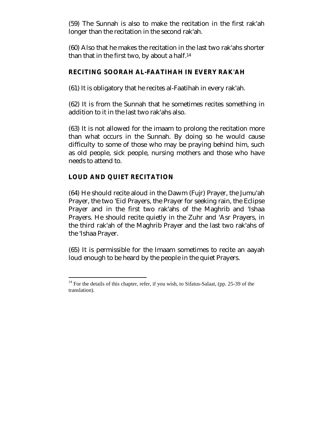(59) The Sunnah is also to make the recitation in the first rak'ah longer than the recitation in the second rak'ah.

(60) Also that he makes the recitation in the last two rak'ahs shorter than that in the first two, by about a half.14

# **RECITING SOORAH AL-FAATIHAH IN EVERY RAK'AH**

(61) It is obligatory that he recites al-Faatihah in every rak'ah.

(62) It is from the Sunnah that he sometimes recites something in addition to it in the last two rak'ahs also.

(63) It is not allowed for the imaam to prolong the recitation more than what occurs in the Sunnah. By doing so he would cause difficulty to some of those who may be praying behind him, such as old people, sick people, nursing mothers and those who have needs to attend to.

# **LOUD AND QUIET RECITATION**

(64) He should recite aloud in the Dawm (Fujr) Prayer, the Jumu'ah Prayer, the two 'Eid Prayers, the Prayer for seeking rain, the Eclipse Prayer and in the first two rak'ahs of the Maghrib and 'Ishaa Prayers. He should recite quietly in the Zuhr and 'Asr Prayers, in the third rak'ah of the Maghrib Prayer and the last two rak'ahs of the 'Ishaa Prayer.

(65) It is permissible for the Imaam sometimes to recite an aayah loud enough to be heard by the people in the quiet Prayers.

 $\overline{a}$ <sup>14</sup> For the details of this chapter, refer, if you wish, to Sifatus-Salaat, (pp. 25-39 of the translation).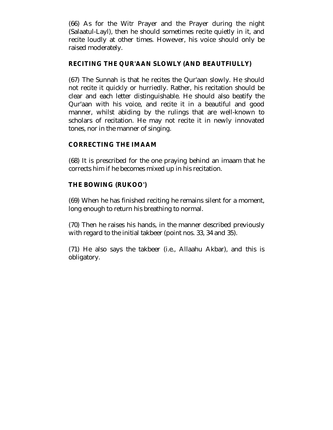(66) As for the Witr Prayer and the Prayer during the night (Salaatul-Layl), then he should sometimes recite quietly in it, and recite loudly at other times. However, his voice should only be raised moderately.

# **RECITING THE QUR'AAN SLOWLY (AND BEAUTFIULLY)**

(67) The Sunnah is that he recites the Qur'aan slowly. He should not recite it quickly or hurriedly. Rather, his recitation should be clear and each letter distinguishable. He should also beatify the Qur'aan with his voice, and recite it in a beautiful and good manner, whilst abiding by the rulings that are well-known to scholars of recitation. He may not recite it in newly innovated tones, nor in the manner of singing.

# **CORRECTING THE IMAAM**

(68) It is prescribed for the one praying behind an imaam that he corrects him if he becomes mixed up in his recitation.

# **THE BOWING (RUKOO')**

(69) When he has finished reciting he remains silent for a moment, long enough to return his breathing to normal.

(70) Then he raises his hands, in the manner described previously with regard to the initial takbeer (point nos. 33, 34 and 35).

(71) He also says the takbeer (i.e., Allaahu Akbar), and this is obligatory.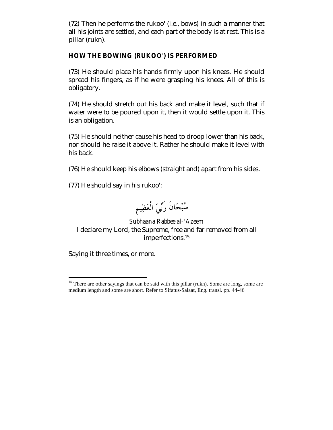(72) Then he performs the rukoo' (i.e., bows) in such a manner that all his joints are settled, and each part of the body is at rest. This is a pillar (rukn).

#### **HOW THE BOWING (RUKOO') IS PERFORMED**

(73) He should place his hands firmly upon his knees. He should spread his fingers, as if he were grasping his knees. All of this is obligatory.

(74) He should stretch out his back and make it level, such that if water were to be poured upon it, then it would settle upon it. This is an obligation.

(75) He should neither cause his head to droop lower than his back, nor should he raise it above it. Rather he should make it level with his back.

(76) He should keep his elbows (straight and) apart from his sides.

(77) He should say in his rukoo':

سُبْحَانَ رَبِّيَ الْعَظِيمِ

# *Subhaana Rabbee al-'Azeem*  I declare my Lord, the Supreme, free and far removed from all imperfections.15

Saying it three times, or more.

 $\overline{a}$ <sup>15</sup> There are other sayings that can be said with this pillar (rukn). Some are long, some are medium length and some are short. Refer to Sifatus-Salaat, Eng. transl. pp. 44-46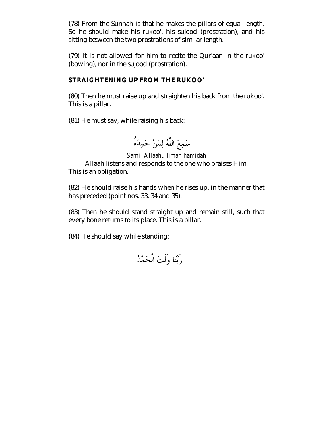(78) From the Sunnah is that he makes the pillars of equal length. So he should make his rukoo', his sujood (prostration), and his sitting between the two prostrations of similar length.

(79) It is not allowed for him to recite the Qur'aan in the rukoo' (bowing), nor in the sujood (prostration).

## **STRAIGHTENING UP FROM THE RUKOO'**

(80) Then he must raise up and straighten his back from the rukoo'. This is a pillar.

(81) He must say, while raising his back:

سَمِعَ اللَّهُ لِمَنْ حَمِدَهُ

*Sami' Allaahu liman hamidah*  Allaah listens and responds to the one who praises Him. This is an obligation.

(82) He should raise his hands when he rises up, in the manner that has preceded (point nos. 33, 34 and 35).

(83) Then he should stand straight up and remain still, such that every bone returns to its place. This is a pillar.

(84) He should say while standing:

رَبَّنَا وَلَكَ الْحَمْدُ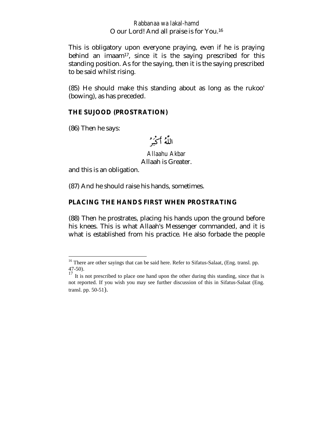#### *Rabbanaa wa lakal-hamd*  O our Lord! And all praise is for You.16

This is obligatory upon everyone praying, even if he is praying behind an imaam<sup>17</sup>, since it is the saying prescribed for this standing position. As for the saying, then it is the saying prescribed to be said whilst rising.

(85) He should make this standing about as long as the rukoo' (bowing), as has preceded.

#### **THE SUJOOD (PROSTRATION)**

(86) Then he says:

 $\overline{a}$ 

اللَّهُ أَكْبَرُ

*Allaahu Akbar*  Allaah is Greater.

and this is an obligation.

(87) And he should raise his hands, sometimes.

#### **PLACING THE HANDS FIRST WHEN PROSTRATING**

(88) Then he prostrates, placing his hands upon the ground before his knees. This is what Allaah's Messenger commanded, and it is what is established from his practice. He also forbade the people

 $16$  There are other sayings that can be said here. Refer to Sifatus-Salaat, (Eng. transl. pp. 47-50).

 $17$  It is not prescribed to place one hand upon the other during this standing, since that is not reported. If you wish you may see further discussion of this in Sifatus-Salaat (Eng. transl. pp. 50-51).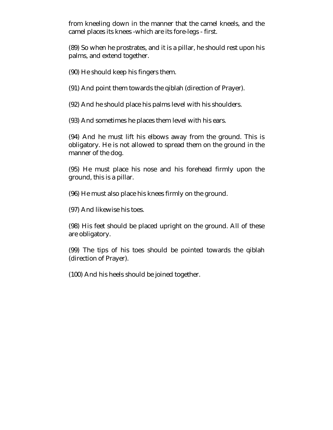from kneeling down in the manner that the camel kneels, and the camel places its knees -which are its fore-legs - first.

(89) So when he prostrates, and it is a pillar, he should rest upon his palms, and extend together.

(90) He should keep his fingers them.

(91) And point them towards the qiblah (direction of Prayer).

(92) And he should place his palms level with his shoulders.

(93) And sometimes he places them level with his ears.

(94) And he must lift his elbows away from the ground. This is obligatory. He is not allowed to spread them on the ground in the manner of the dog.

(95) He must place his nose and his forehead firmly upon the ground, this is a pillar.

(96) He must also place his knees firmly on the ground.

(97) And likewise his toes.

(98) His feet should be placed upright on the ground. All of these are obligatory.

(99) The tips of his toes should be pointed towards the qiblah (direction of Prayer).

(100) And his heels should be joined together.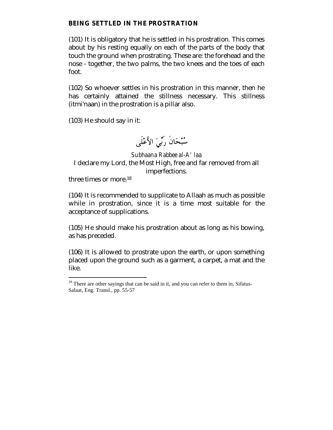#### **BEING SETTLED IN THE PROSTRATION**

(101) It is obligatory that he is settled in his prostration. This comes about by his resting equally on each of the parts of the body that touch the ground when prostrating. These are: the forehead and the nose - together, the two palms, the two knees and the toes of each foot.

(102) So whoever settles in his prostration in this manner, then he has certainly attained the stillness necessary. This stillness (itmi'naan) in the prostration is a pillar also.

(103) He should say in it:

سُبْحَانَ رَبِّيَ الأَعْلَى

*Subhaana Rabbee al-A' laa*  I declare my Lord, the Most High, free and far removed from all imperfections.

three times or more.18

 $\overline{a}$ 

(104) It is recommended to supplicate to Allaah as much as possible while in prostration, since it is a time most suitable for the acceptance of supplications.

(105) He should make his prostration about as long as his bowing, as has preceded.

(106) It is allowed to prostrate upon the earth, or upon something placed upon the ground such as a garment, a carpet, a mat and the like.

 $18$  There are other sayings that can be said in it, and you can refer to them in, Sifatus-Salaat, Eng. Transl., pp. 55-57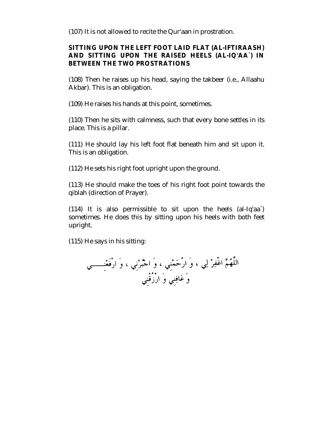(107) It is not allowed to recite the Qur'aan in prostration.

# **SITTING UPON THE LEFT FOOT LAID FLAT (AL-IFTIRAASH) AND SITTING UPON THE RAISED HEELS (AL-IQ'AA`) IN BETWEEN THE TWO PROSTRATIONS**

(108) Then he raises up his head, saying the takbeer (i.e., Allaahu Akbar). This is an obligation.

(109) He raises his hands at this point, sometimes.

(110) Then he sits with calmness, such that every bone settles in its place. This is a pillar.

(111) He should lay his left foot flat beneath him and sit upon it. This is an obligation.

(112) He sets his right foot upright upon the ground.

(113) He should make the toes of his right foot point towards the qiblah (direction of Prayer).

(114) It is also permissible to sit upon the heels (al-Iq'aa`) sometimes. He does this by sitting upon his heels with both feet upright.

(115) He says in his sitting: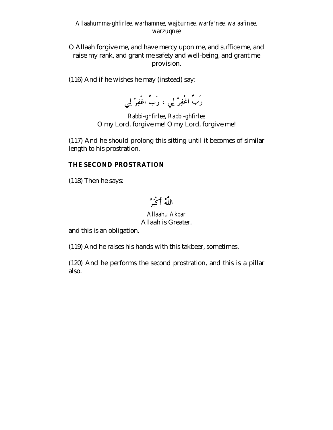#### *Allaahumma-ghfirlee, warhamnee, wajburnee, warfa'nee, wa'aafinee, warzuqnee*

O Allaah forgive me, and have mercy upon me, and suffice me, and raise my rank, and grant me safety and well-being, and grant me provision.

(116) And if he wishes he may (instead) say:

رَبٌ اغْفِرْ لِي ، رَبٌ اغْفِرْ لِي

*Rabbi-ghfirlee, Rabbi-ghfirlee*  O my Lord, forgive me! O my Lord, forgive me!

(117) And he should prolong this sitting until it becomes of similar length to his prostration.

#### **THE SECOND PROSTRATION**

(118) Then he says:

اللَّهُ أَكْبَرُ

*Allaahu Akbar*  Allaah is Greater.

and this is an obligation.

(119) And he raises his hands with this takbeer, sometimes.

(120) And he performs the second prostration, and this is a pillar also.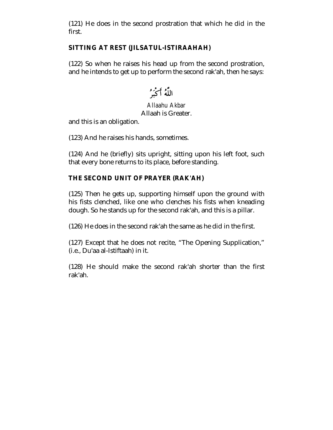(121) He does in the second prostration that which he did in the first.

# **SITTING AT REST (JILSATUL-ISTIRAAHAH)**

(122) So when he raises his head up from the second prostration, and he intends to get up to perform the second rak'ah, then he says:

اللَّهُ أَكْبَرُ

# *Allaahu Akbar*  Allaah is Greater.

and this is an obligation.

(123) And he raises his hands, sometimes.

(124) And he (briefly) sits upright, sitting upon his left foot, such that every bone returns to its place, before standing.

# **THE SECOND UNIT OF PRAYER (RAK'AH)**

(125) Then he gets up, supporting himself upon the ground with his fists clenched, like one who clenches his fists when kneading dough. So he stands up for the second rak'ah, and this is a pillar.

(126) He does in the second rak'ah the same as he did in the first.

(127) Except that he does not recite, "The Opening Supplication," (i.e., Du'aa al-Istiftaah) in it.

(128) He should make the second rak'ah shorter than the first rak'ah.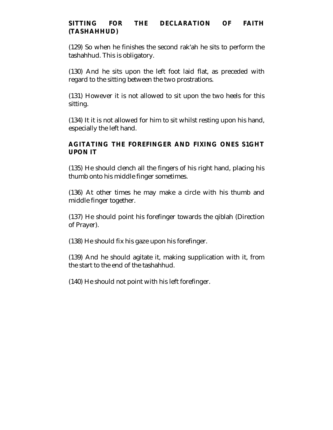# **SITTING FOR THE DECLARATION OF FAITH (TASHAHHUD)**

(129) So when he finishes the second rak'ah he sits to perform the tashahhud. This is obligatory.

(130) And he sits upon the left foot laid flat, as preceded with regard to the sitting between the two prostrations.

(131) However it is not allowed to sit upon the two heels for this sitting.

(134) It it is not allowed for him to sit whilst resting upon his hand, especially the left hand.

# **AGITATING THE FOREFINGER AND FIXING ONES S1GHT UPON IT**

(135) He should clench all the fingers of his right hand, placing his thumb onto his middle finger sometimes.

(136) At other times he may make a circle with his thumb and middle finger together.

(137) He should point his forefinger towards the qiblah (Direction of Prayer).

(138) He should fix his gaze upon his forefinger.

(139) And he should agitate it, making supplication with it, from the start to the end of the tashahhud.

(140) He should not point with his left forefinger.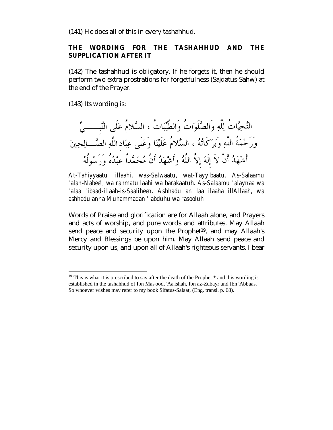(141) He does all of this in every tashahhud.

#### **THE WORDING FOR THE TASHAHHUD AND THE SUPPLICATION AFTER IT**

(142) The tashahhud is obligatory. If he forgets it, then he should perform two extra prostrations for forgetfulness (Sajdatus-Sahw) at the end of the Prayer.

(143) Its wording is:

 $\overline{a}$ 

التَّحِيَّاتُ لِلَّهِ وَالصَّلَوَاتُ وَالطَّيِّبَاتُ ، السَّلامُ عَلَى النَّبِـــــىِّ وَرَحْمَةُ اللَّهِ وَبَرَكَاتُهُ ، السَّلامُ عَلَيْنَا وَعَلَى عِبَادِ اللَّهِ الصَّـــالِحِينَ أَشْهَدُ أَنْ لاَ إلَهَ إلاَّ اللَّهُ وأَشْهَدُ أَنَّ مُحَمَّداً عبْدُهُ وَرَسُولُهُ

*At-Tahiyyaatu lillaahi, was-Salwaatu, wat-Tayyibaatu. As-Salaamu 'alan-Nabee', wa rahmatullaahi wa barakaatuh. As-Salaamu 'alaynaa wa 'alaa 'ibaad-illaah-is-Saaliheen. Ashhadu an laa ilaaha illAllaah, wa ashhadu anna Muhammadan ' abduhu wa rasooluh* 

Words of Praise and glorification are for Allaah alone, and Prayers and acts of worship, and pure words and attributes. May Allaah send peace and security upon the Prophet<sup>19</sup>, and may Allaah's Mercy and Blessings be upon him. May Allaah send peace and security upon us, and upon all of Allaah's righteous servants. I bear

 $19$  This is what it is prescribed to say after the death of the Prophet  $*$  and this wording is established in the tashahhud of Ibn Mas'ood, 'Aa'ishah, Ibn az-Zubayr and Ibn 'Abbaas. So whoever wishes may refer to my book Sifatus-Salaat, (Eng. transl. p. 68).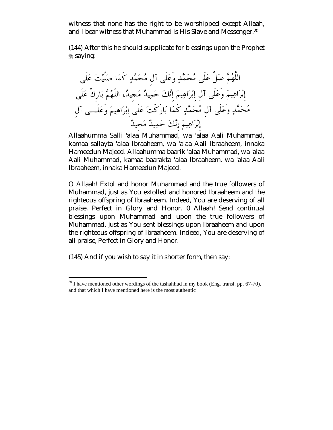witness that none has the right to be worshipped except Allaah, and I bear witness that Muhammad is His Slave and Messenger.<sup>20</sup>

(144) After this he should supplicate for blessings upon the Prophet  $*$  saying:

 Allaahumma Salli 'alaa Muhammad, wa 'alaa Aali Muhammad, kamaa sallayta 'alaa Ibraaheem, wa 'alaa Aali Ibraaheem, innaka Hameedun Majeed. Allaahumma baarik 'alaa Muhammad, wa 'alaa Aali Muhammad, kamaa baarakta 'alaa Ibraaheem, wa 'alaa Aali Ibraaheem, innaka Hameedun Majeed.

O Allaah! Extol and honor Muhammad and the true followers of Muhammad, just as You extolled and honored Ibraaheem and the righteous offspring of Ibraaheem. Indeed, You are deserving of all praise, Perfect in Glory and Honor. 0 Allaah! Send continual blessings upon Muhammad and upon the true followers of Muhammad, just as You sent blessings upon Ibraaheem and upon the righteous offspring of Ibraaheem. Indeed, You are deserving of all praise, Perfect in Glory and Honor.

(145) And if you wish to say it in shorter form, then say:

 $^{20}$  I have mentioned other wordings of the tashahhud in my book (Eng. transl. pp. 67-70), and that which I have mentioned here is the most authentic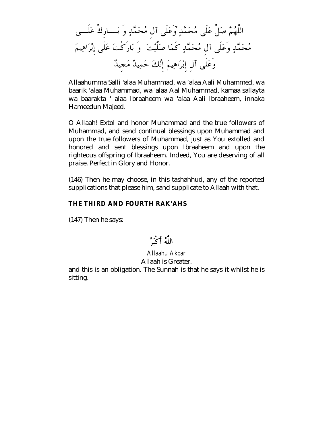Allaahumma Salli 'alaa Muhammad, wa 'alaa Aali Muhammed, wa baarik 'alaa Muhammad, wa 'alaa Aal Muhammad, kamaa sallayta wa baarakta ' alaa Ibraaheem wa 'alaa Aali lbraaheem, innaka Hameedun Majeed.

O Allaah! Extol and honor Muhammad and the true followers of Muhammad, and send continual blessings upon Muhammad and upon the true followers of Muhammad, just as You extolled and honored and sent blessings upon Ibraaheem and upon the righteous offspring of Ibraaheem. Indeed, You are deserving of all praise, Perfect in Glory and Honor.

(146) Then he may choose, in this tashahhud, any of the reported supplications that please him, sand supplicate to Allaah with that.

#### **THE THIRD AND FOURTH RAK'AHS**

(147) Then he says:

اللَّهُ أَكْبَرُ

#### *Allaahu Akbar*  Allaah is Greater.

and this is an obligation. The Sunnah is that he says it whilst he is sitting.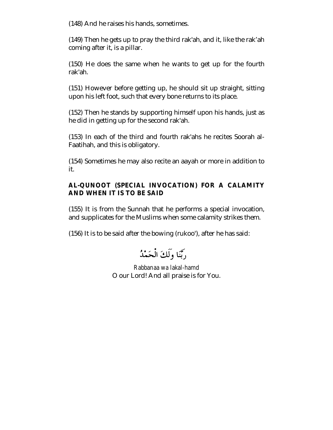(148) And he raises his hands, sometimes.

(149) Then he gets up to pray the third rak'ah, and it, like the rak'ah coming after it, is a pillar.

(150) He does the same when he wants to get up for the fourth rak'ah.

(151) However before getting up, he should sit up straight, sitting upon his left foot, such that every bone returns to its place.

(152) Then he stands by supporting himself upon his hands, just as he did in getting up for the second rak'ah.

(153) In each of the third and fourth rak'ahs he recites Soorah al-Faatihah, and this is obligatory.

(154) Sometimes he may also recite an aayah or more in addition to it.

# **AL-QUNOOT (SPECIAL INVOCATION) FOR A CALAMITY AND WHEN IT IS TO BE SAID**

(155) It is from the Sunnah that he performs a special invocation, and supplicates for the Muslims when some calamity strikes them.

(156) It is to be said after the bowing (rukoo'), after he has said:

دِيَّنَا وَلَكَ الْعَعْبُدُ

*Rabbanaa wa lakal-hamd*  O our Lord! And all praise is for You.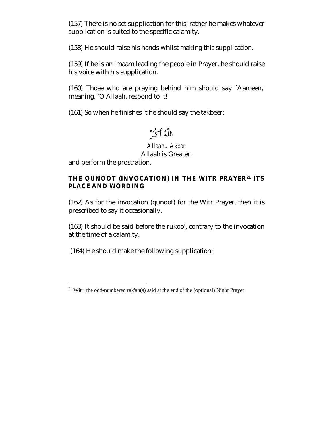(157) There is no set supplication for this; rather he makes whatever supplication is suited to the specific calamity.

(158) He should raise his hands whilst making this supplication.

(159) If he is an imaam leading the people in Prayer, he should raise his voice with his supplication.

(160) Those who are praying behind him should say `Aameen,' meaning, `O Allaah, respond to it!'

(161) So when he finishes it he should say the takbeer:

اللَّهُ أَكْبَرُ

*Allaahu Akbar*  Allaah is Greater.

and perform the prostration.

 $\overline{a}$ 

# **THE QUNOOT (INVOCATION) IN THE WITR PRAYER21 ITS PLACE AND WORDING**

(162) As for the invocation (qunoot) for the Witr Prayer, then it is prescribed to say it occasionally.

(163) It should be said before the rukoo', contrary to the invocation at the time of a calamity.

(164) He should make the following supplication:

<sup>&</sup>lt;sup>21</sup> Witr: the odd-numbered rak'ah(s) said at the end of the (optional) Night Prayer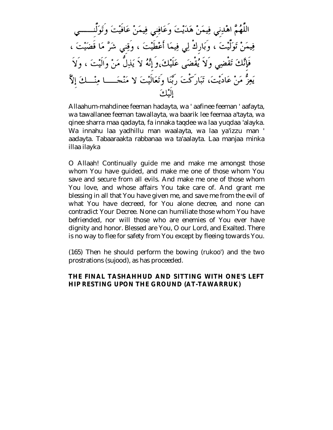اللَّهُمَّ اهْدِني فِيمَنْ هَدَيْتَ وَعَافِني فِيمَنْ عَافَيْتَ وَتَوَلَّنـــــــي فِيمَنْ تَوَلَّيْتَ ، وَبَارِكْ لِي فِيمَا أَعْطَيْتَ ، وَقِني شَرَّ مَا قَضَيْتَ ، فَإِنَّكَ تَقْضِى وَلاَ يُقْضَى عَلَيْكَ،وَإِنَّهُ لاَ يَذِلُّ مَنْ وَالَيْتَ ، وَلاَ يَعِزُّ مَنْ عَادَيْتَ، تَبَارَكْتَ رَبَّنِا وَتَعَالَيْتَ لا مَنْجَـــــا مِنْـــكَ إِلاَّ الثك

Allaahum-mahdinee feeman hadayta, wa ' aafinee feeman ' aafayta, wa tawallanee feeman tawallayta, wa baarik lee feemaa a'tayta, wa qinee sharra maa qadayta, fa innaka taqdee wa laa yuqdaa 'alayka. Wa innahu laa yadhillu man waalayta, wa laa ya'izzu man ' aadayta. Tabaaraakta rabbanaa wa ta'aalayta. Laa manjaa minka illaa ilayka

O Allaah! Continually guide me and make me amongst those whom You have guided, and make me one of those whom You save and secure from all evils. And make me one of those whom You love, and whose affairs You take care of. And grant me blessing in all that You have given me, and save me from the evil of what You have decreed, for You alone decree, and none can contradict Your Decree. None can humiliate those whom You have befriended, nor will those who are enemies of You ever have dignity and honor. Blessed are You, O our Lord, and Exalted. There is no way to flee for safety from You except by fleeing towards You.

(165) Then he should perform the bowing (rukoo') and the two prostrations (sujood), as has proceeded.

#### **THE FINAL TASHAHHUD AND SITTING WITH ONE'S LEFT HIP RESTING UPON THE GROUND (AT-TAWARRUK)**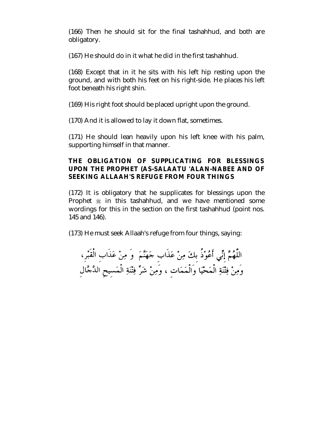(166) Then he should sit for the final tashahhud, and both are obligatory.

(167) He should do in it what he did in the first tashahhud.

(168) Except that in it he sits with his left hip resting upon the ground, and with both his feet on his right-side. He places his left foot beneath his right shin.

(169) His right foot should be placed upright upon the ground.

(170) And it is allowed to lay it down flat, sometimes.

(171) He should lean heavily upon his left knee with his palm, supporting himself in that manner.

# **THE OBLIGATION OF SUPPLICATING FOR BLESSINGS UPON THE PROPHET (AS-SALAATU 'ALAN-NABEE AND OF SEEKING ALLAAH'S REFUGE FROM FOUR THINGS**

(172) It is obligatory that he supplicates for blessings upon the Prophet  $*$  in this tashahhud, and we have mentioned some wordings for this in the section on the first tashahhud (point nos. 145 and 146).

(173) He must seek Allaah's refuge from four things, saying:

اللَّهُمَّ إِنِّي أَعُوْذُ بِكَ مِنْ عَذَابٍ حَهَنَّمَ ۚ وَ مِنْ عَذَابِ الْقَبْرِ، وَمِنْ فِتْنَةِ الْمَحْيَا وَالْمَمَات ، وَمِنْ شَرٍّ فِتْنَةِ الْمَسيحِ الدَّجَّال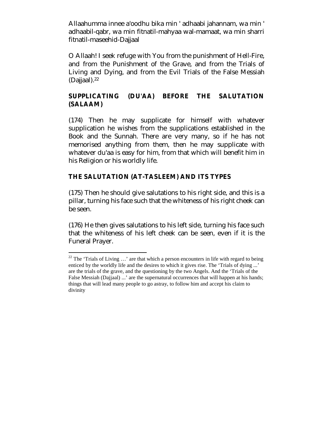Allaahumma innee a'oodhu bika min ' adhaabi jahannam, wa min ' adhaabil-qabr, wa min fitnatil-mahyaa wal-mamaat, wa min sharri fitnatil-maseehid-Dajjaal

O Allaah! I seek refuge with You from the punishment of Hell-Fire, and from the Punishment of the Grave, and from the Trials of Living and Dying, and from the Evil Trials of the False Messiah (Dajjaal).22

# **SUPPLICATING (DU'AA) BEFORE THE SALUTATION (SALAAM)**

(174) Then he may supplicate for himself with whatever supplication he wishes from the supplications established in the Book and the Sunnah. There are very many, so if he has not memorised anything from them, then he may supplicate with whatever du'aa is easy for him, from that which will benefit him in his Religion or his worldly life.

#### **THE SALUTATION (AT-TASLEEM) AND ITS TYPES**

 $\overline{a}$ 

(175) Then he should give salutations to his right side, and this is a pillar, turning his face such that the whiteness of his right cheek can be seen.

(176) He then gives salutations to his left side, turning his face such that the whiteness of his left cheek can be seen, even if it is the Funeral Prayer.

<sup>&</sup>lt;sup>22</sup> The 'Trials of Living  $\ldots$ ' are that which a person encounters in life with regard to being enticed by the worldly life and the desires to which it gives rise. The 'Trials of dying ...' are the trials of the grave, and the questioning by the two Angels. And the 'Trials of the False Messiah (Dajjaal) ...' are the supernatural occurrences that will happen at his hands; things that will lead many people to go astray, to follow him and accept his claim to divinity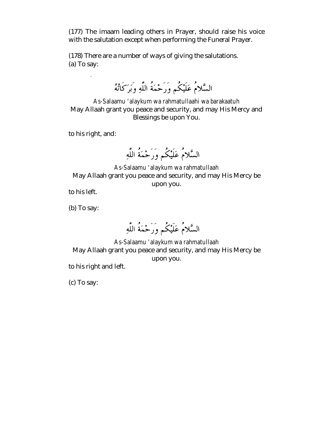(177) The imaam leading others in Prayer, should raise his voice with the salutation except when performing the Funeral Prayer.

(178) There are a number of ways of giving the salutations. (a) To say:

السَّلامُ عَلَيْكُم وَرَحْمَةُ اللَّهِ وَبَرَكَانَهُ

*As-Salaamu 'alaykum wa rahmatullaahi wa barakaatuh*  May Allaah grant you peace and security, and may His Mercy and Blessings be upon You.

to his right, and:

السَّلامُ عَلَيْكُم وَرَحْمَةُ اللَّهِ

*As-Salaamu 'alaykum wa rahmatullaah*  May Allaah grant you peace and security, and may His Mercy be upon you.

to his left.

(b) To say:

السَّلامُ عَلَيْكُم وَرَحْمَةُ اللَّهِ

*As-Salaamu 'alaykum wa rahmatullaah*  May Allaah grant you peace and security, and may His Mercy be upon you.

to his right and left.

(c) To say: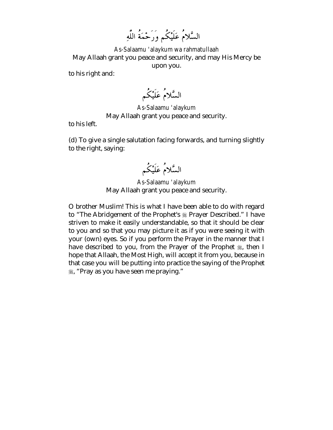*As-Salaamu 'alaykum wa rahmatullaah*  May Allaah grant you peace and security, and may His Mercy be upon you.

to his right and:

السَّلامُ عَلَيْكُم

*As-Salaamu 'alaykum*  May Allaah grant you peace and security.

to his left.

(d) To give a single salutation facing forwards, and turning slightly to the right, saying:

السَّلامُ عَلَيْكُم

*As-Salaamu 'alaykum*  May Allaah grant you peace and security.

O brother Muslim! This is what I have been able to do with regard to "The Abridgement of the Prophet's  $\frac{1}{20}$  Prayer Described." I have striven to make it easily understandable, so that it should be clear to you and so that you may picture it as if you were seeing it with your (own) eyes. So if you perform the Prayer in the manner that I have described to you, from the Prayer of the Prophet  $\frac{1}{26}$ , then I hope that Allaah, the Most High, will accept it from you, because in that case you will be putting into practice the saying of the Prophet !, "Pray as you have seen me praying."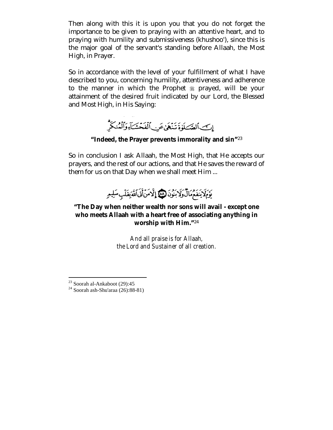Then along with this it is upon you that you do not forget the importance to be given to praying with an attentive heart, and to praying with humility and submissiveness (khushoo'), since this is the major goal of the servant's standing before Allaah, the Most High, in Prayer.

So in accordance with the level of your fulfillment of what I have described to you, concerning humility, attentiveness and adherence to the manner in which the Prophet  $\frac{1}{20}$  prayed, will be your attainment of the desired fruit indicated by our Lord, the Blessed and Most High, in His Saying:



**"Indeed, the Prayer prevents immorality and sin"**<sup>23</sup>

So in conclusion I ask Allaah, the Most High, that He accepts our prayers, and the rest of our actions, and that He saves the reward of them for us on that Day when we shall meet Him ...



# **"The Day when neither wealth nor sons will avail - except one who meets Allaah with a heart free of associating anything in worship with Him."**<sup>24</sup>

*And all praise is for Allaah, the Lord and Sustainer of all creation.* 

 $\overline{a}$  $23$  Soorah al-Ankaboot (29):45

<sup>24</sup> Soorah ash-Shu'araa (26):88-81)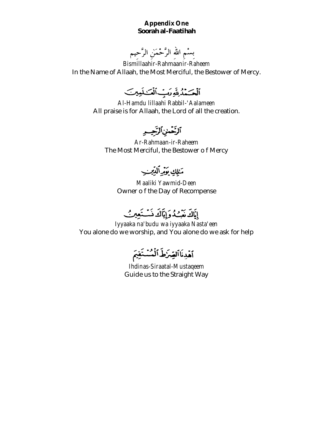#### **Appendix One**  *Soorah al-Faatihah*

بِسْمِ اللهِ الرَّحْمَنِ الرَّحِيمِ

*Bismillaahir-Rahmaanir-Raheem*  In the Name of Allaah, the Most Merciful, the Bestower of Mercy.

ألْحَسْدُينَةِ دَبِّ أَلْمَسْلَمِينَ

*Al-Hamdu lillaahi Rabbil-'Aalameen*  All praise is for Allaah, the Lord of all the creation.

ٱلْغَضِيْٱلْتَجِسِهِ

*Ar-Rahmaan-ir-Raheem*  The Most Merciful, the Bestower o f Mercy

مَالِكِ يَوَرِّأَلِّلِيْبِ

*Maaliki Yawmid-Deen*  Owner o f the Day of Recompense

إِيَاكَ مَبْسُدُوَإِيَاكَ ذَسْتَعِينُ

*Iyyaaka na'budu wa iyyaaka Nasta'een*  You alone do we worship, and You alone do we ask for help

أخدِنَا ٱلصِّرَٰطَ ٱلْمُسْتَقِيمَ

*Ihdinas-Siraatal-Mustaqeem*  Guide us to the Straight Way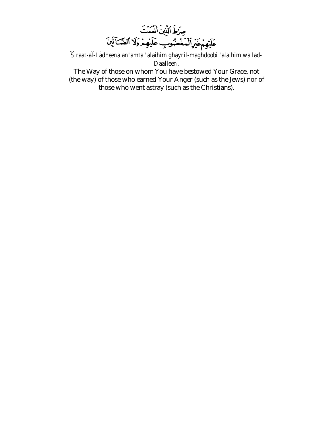

*Siraat-al-Ladheena an'amta 'alaihim ghayril-maghdoobi 'alaihim wa lad-Daalleen*.

The Way of those on whom You have bestowed Your Grace, not (the way) of those who earned Your Anger (such as the Jews) nor of those who went astray (such as the Christians).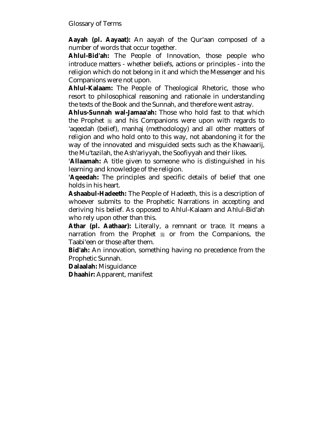Glossary of Terms

**Aayah (pl. Aayaat):** An aayah of the Qur'aan composed of a number of words that occur together.

**Ahlul-Bid'ah:** The People of Innovation, those people who introduce matters - whether beliefs, actions or principles - into the religion which do not belong in it and which the Messenger and his Companions were not upon.

**Ahlul-Kalaam:** The People of Theological Rhetoric, those who resort to philosophical reasoning and rationale in understanding the texts of the Book and the Sunnah, and therefore went astray.

**Ahlus-Sunnah wal-Jamaa'ah:** Those who hold fast to that which the Prophet  $\frac{1}{2}$  and his Companions were upon with regards to 'aqeedah (belief), manhaj (methodology) and all other matters of religion and who hold onto to this way, not abandoning it for the way of the innovated and misguided sects such as the Khawaarij, the Mu'tazilah, the Ash'ariyyah, the Soofiyyah and their likes.

**'Allaamah:** A title given to someone who is distinguished in his learning and knowledge of the religion.

**'Aqeedah:** The principles and specific details of belief that one holds in his heart.

**Ashaabul-Hadeeth:** The People of Hadeeth, this is a description of whoever submits to the Prophetic Narrations in accepting and deriving his belief. As opposed to Ahlul-Kalaam and Ahlul-Bid'ah who rely upon other than this.

**Athar (pl. Aathaar):** Literally, a remnant or trace. It means a narration from the Prophet  $\#$  or from the Companions, the Taabi'een or those after them.

**Bid'ah:** An innovation, something having no precedence from the Prophetic Sunnah.

**Dalaalah:** Misguidance

**Dhaahir:** Apparent, manifest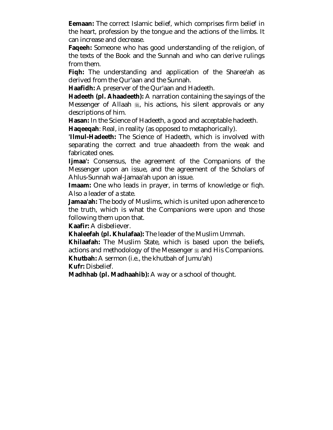**Eemaan:** The correct Islamic belief, which comprises firm belief in the heart, profession by the tongue and the actions of the limbs. It can increase and decrease.

**Faqeeh:** Someone who has good understanding of the religion, of the texts of the Book and the Sunnah and who can derive rulings from them.

**Fiqh:** The understanding and application of the Sharee'ah as derived from the Qur'aan and the Sunnah.

**Haafidh:** A preserver of the Qur'aan and Hadeeth.

**Hadeeth (pl. Ahaadeeth):** A narration containing the sayings of the Messenger of Allaah  $\frac{4}{36}$ , his actions, his silent approvals or any descriptions of him.

**Hasan:** In the Science of Hadeeth, a good and acceptable hadeeth.

**Haqeeqah**: Real, in reality (as opposed to metaphorically).

**'Ilmul-Hadeeth:** The Science of Hadeeth, which is involved with separating the correct and true ahaadeeth from the weak and fabricated ones.

**Ijmaa':** Consensus, the agreement of the Companions of the Messenger upon an issue, and the agreement of the Scholars of Ahlus-Sunnah wal-Jamaa'ah upon an issue.

**Imaam:** One who leads in prayer, in terms of knowledge or fiqh. Also a leader of a state.

**Jamaa'ah:** The body of Muslims, which is united upon adherence to the truth, which is what the Companions were upon and those following them upon that.

**Kaafir:** A disbeliever.

**Khaleefah (pl. Khulafaa):** The leader of the Muslim Ummah.

**Khilaafah:** The Muslim State, which is based upon the beliefs, actions and methodology of the Messenger  $\frac{1}{20}$  and His Companions. **Khutbah:** A sermon (i.e., the khutbah of Jumu'ah)

**Kufr:** Disbelief.

**Madhhab (pl. Madhaahib):** A way or a school of thought.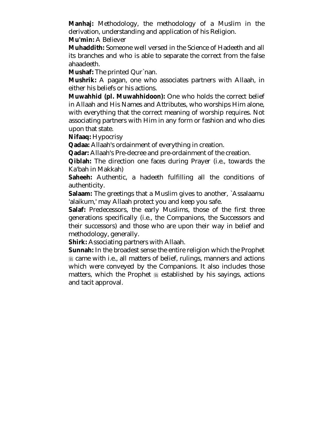**Manhaj:** Methodology, the methodology of a Muslim in the derivation, understanding and application of his Religion.

**Mu'min:** A Believer

**Muhaddith:** Someone well versed in the Science of Hadeeth and all its branches and who is able to separate the correct from the false ahaadeeth.

**Mushaf:** The printed Qur`nan.

**Mushrik:** A pagan, one who associates partners with Allaah, in either his beliefs or his actions.

**Muwahhid (pl. Muwahhidoon):** One who holds the correct belief in Allaah and His Names and Attributes, who worships Him alone, with everything that the correct meaning of worship requires. Not associating partners with Him in any form or fashion and who dies upon that state.

**Nifaaq:** Hypocrisy

**Qadaa:** Allaah's ordainment of everything in creation.

**Qadar:** Allaah's Pre-decree and pre-ordainment of the creation.

**Qiblah:** The direction one faces during Prayer (i.e., towards the Ka'bah in Makkah)

**Saheeh:** Authentic, a hadeeth fulfilling all the conditions of authenticity.

**Salaam:** The greetings that a Muslim gives to another, `Assalaamu 'alaikum,' may Allaah protect you and keep you safe.

**Salaf:** Predecessors, the early Muslims, those of the first three generations specifically (i.e., the Companions, the Successors and their successors) and those who are upon their way in belief and methodology, generally.

**Shirk:** Associating partners with Allaah.

**Sunnah:** In the broadest sense the entire religion which the Prophet ! came with i.e., all matters of belief, rulings, manners and actions which were conveyed by the Companions. It also includes those matters, which the Prophet  $\frac{1}{20}$  established by his sayings, actions and tacit approval.